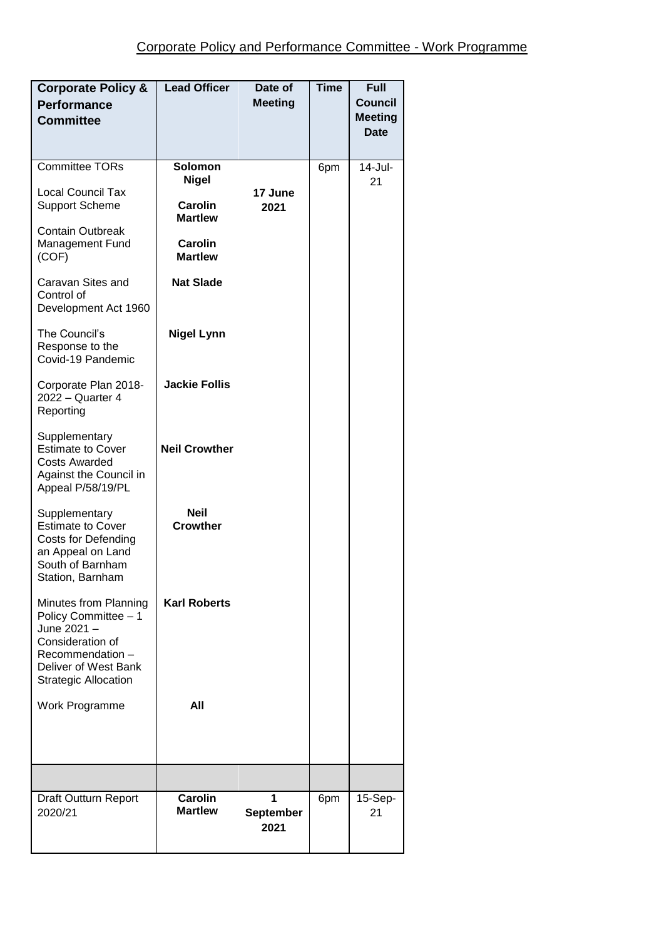| <b>Corporate Policy &amp;</b><br><b>Performance</b><br><b>Committee</b>                                                                                                     | <b>Lead Officer</b>                                                                                          | Date of<br><b>Meeting</b>     | <b>Time</b> | Full<br><b>Council</b><br><b>Meeting</b><br>Date |
|-----------------------------------------------------------------------------------------------------------------------------------------------------------------------------|--------------------------------------------------------------------------------------------------------------|-------------------------------|-------------|--------------------------------------------------|
| <b>Committee TORs</b><br><b>Local Council Tax</b><br><b>Support Scheme</b><br><b>Contain Outbreak</b><br><b>Management Fund</b><br>(COF)<br>Caravan Sites and<br>Control of | Solomon<br><b>Nigel</b><br><b>Carolin</b><br><b>Martlew</b><br>Carolin<br><b>Martlew</b><br><b>Nat Slade</b> | 17 June<br>2021               | 6pm         | 14-Jul-<br>21                                    |
| Development Act 1960<br>The Council's<br>Response to the<br>Covid-19 Pandemic                                                                                               | <b>Nigel Lynn</b>                                                                                            |                               |             |                                                  |
| Corporate Plan 2018-<br>2022 - Quarter 4<br>Reporting                                                                                                                       | <b>Jackie Follis</b>                                                                                         |                               |             |                                                  |
| Supplementary<br><b>Estimate to Cover</b><br><b>Costs Awarded</b><br>Against the Council in<br>Appeal P/58/19/PL                                                            | <b>Neil Crowther</b>                                                                                         |                               |             |                                                  |
| Supplementary<br><b>Estimate to Cover</b><br><b>Costs for Defending</b><br>an Appeal on Land<br>South of Barnham<br>Station, Barnham                                        | <b>Neil</b><br><b>Crowther</b>                                                                               |                               |             |                                                  |
| Minutes from Planning<br>Policy Committee - 1<br>June 2021 -<br>Consideration of<br>Recommendation -<br>Deliver of West Bank<br><b>Strategic Allocation</b>                 | <b>Karl Roberts</b>                                                                                          |                               |             |                                                  |
| Work Programme                                                                                                                                                              | All                                                                                                          |                               |             |                                                  |
|                                                                                                                                                                             |                                                                                                              |                               |             |                                                  |
| Draft Outturn Report<br>2020/21                                                                                                                                             | <b>Carolin</b><br><b>Martlew</b>                                                                             | 1<br><b>September</b><br>2021 | 6pm         | 15-Sep-<br>21                                    |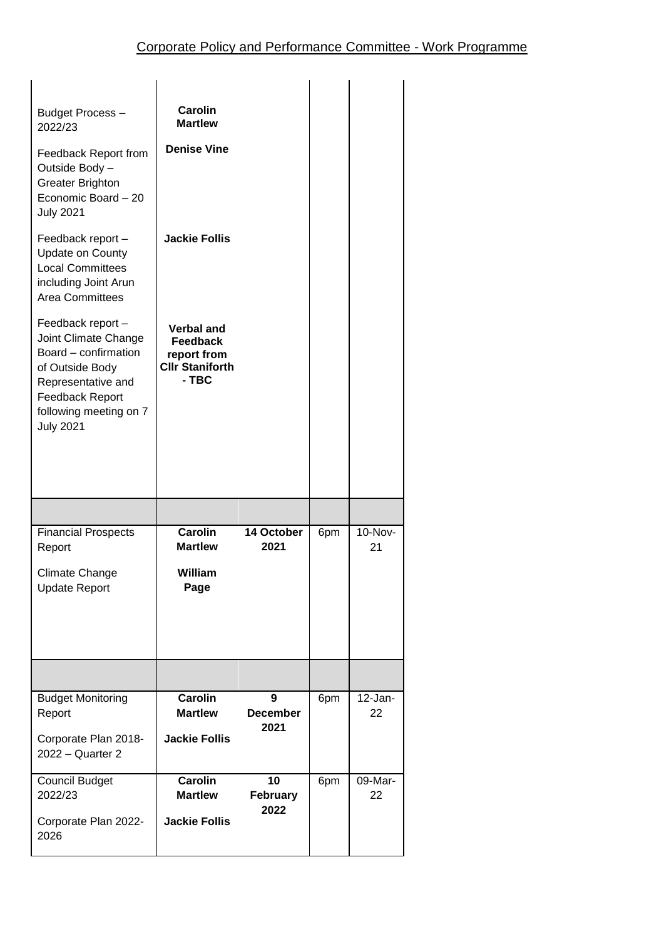| Budget Process-<br>2022/23<br>Feedback Report from<br>Outside Body -<br><b>Greater Brighton</b><br>Economic Board - 20<br><b>July 2021</b><br>Feedback report -<br><b>Update on County</b><br><b>Local Committees</b><br>including Joint Arun<br><b>Area Committees</b><br>Feedback report -<br>Joint Climate Change<br>Board – confirmation<br>of Outside Body<br>Representative and<br><b>Feedback Report</b><br>following meeting on 7<br><b>July 2021</b> | Carolin<br><b>Martlew</b><br><b>Denise Vine</b><br><b>Jackie Follis</b><br><b>Verbal and</b><br><b>Feedback</b><br>report from<br><b>Cllr Staniforth</b><br>- TBC |                               |     |               |
|---------------------------------------------------------------------------------------------------------------------------------------------------------------------------------------------------------------------------------------------------------------------------------------------------------------------------------------------------------------------------------------------------------------------------------------------------------------|-------------------------------------------------------------------------------------------------------------------------------------------------------------------|-------------------------------|-----|---------------|
|                                                                                                                                                                                                                                                                                                                                                                                                                                                               |                                                                                                                                                                   |                               |     |               |
| <b>Financial Prospects</b><br>Report<br>Climate Change<br><b>Update Report</b>                                                                                                                                                                                                                                                                                                                                                                                | <b>Carolin</b><br><b>Martlew</b><br>William<br>Page                                                                                                               | 14 October<br>2021            | 6pm | 10-Nov-<br>21 |
|                                                                                                                                                                                                                                                                                                                                                                                                                                                               |                                                                                                                                                                   |                               |     |               |
| <b>Budget Monitoring</b><br>Report<br>Corporate Plan 2018-<br>2022 - Quarter 2                                                                                                                                                                                                                                                                                                                                                                                | <b>Carolin</b><br><b>Martlew</b><br><b>Jackie Follis</b>                                                                                                          | 9<br><b>December</b><br>2021  | 6pm | 12-Jan-<br>22 |
| <b>Council Budget</b><br>2022/23<br>Corporate Plan 2022-<br>2026                                                                                                                                                                                                                                                                                                                                                                                              | <b>Carolin</b><br><b>Martlew</b><br><b>Jackie Follis</b>                                                                                                          | 10<br><b>February</b><br>2022 | 6pm | 09-Mar-<br>22 |